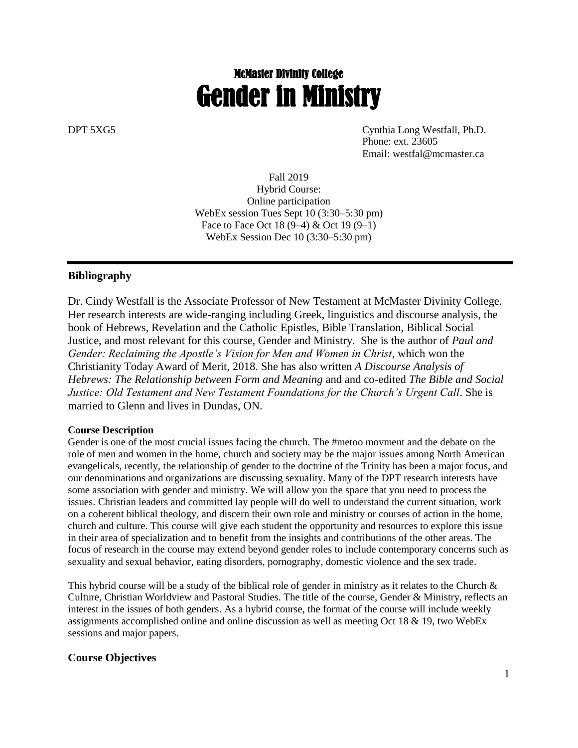# McMaster Divinity College Gender in Ministry

DPT 5XG5 Cynthia Long Westfall, Ph.D. Phone: ext. 23605 Email: westfal@mcmaster.ca

> Fall 2019 Hybrid Course: Online participation WebEx session Tues Sept 10 (3:30–5:30 pm) Face to Face Oct 18 (9–4) & Oct 19 (9–1) WebEx Session Dec 10 (3:30–5:30 pm)

#### **Bibliography**

Dr. Cindy Westfall is the Associate Professor of New Testament at McMaster Divinity College. Her research interests are wide-ranging including Greek, linguistics and discourse analysis, the book of Hebrews, Revelation and the Catholic Epistles, Bible Translation, Biblical Social Justice, and most relevant for this course, Gender and Ministry. She is the author of *Paul and Gender: Reclaiming the Apostle's Vision for Men and Women in Christ*, which won the Christianity Today Award of Merit, 2018. She has also written *A Discourse Analysis of Hebrews: The Relationship between Form and Meaning* and and co-edited *The Bible and Social Justice: Old Testament and New Testament Foundations for the Church's Urgent Call*. She is married to Glenn and lives in Dundas, ON.

#### **Course Description**

Gender is one of the most crucial issues facing the church. The #metoo movment and the debate on the role of men and women in the home, church and society may be the major issues among North American evangelicals, recently, the relationship of gender to the doctrine of the Trinity has been a major focus, and our denominations and organizations are discussing sexuality. Many of the DPT research interests have some association with gender and ministry. We will allow you the space that you need to process the issues. Christian leaders and committed lay people will do well to understand the current situation, work on a coherent biblical theology, and discern their own role and ministry or courses of action in the home, church and culture. This course will give each student the opportunity and resources to explore this issue in their area of specialization and to benefit from the insights and contributions of the other areas. The focus of research in the course may extend beyond gender roles to include contemporary concerns such as sexuality and sexual behavior, eating disorders, pornography, domestic violence and the sex trade.

This hybrid course will be a study of the biblical role of gender in ministry as it relates to the Church  $\&$ Culture, Christian Worldview and Pastoral Studies. The title of the course, Gender & Ministry, reflects an interest in the issues of both genders. As a hybrid course, the format of the course will include weekly assignments accomplished online and online discussion as well as meeting Oct 18 & 19, two WebEx sessions and major papers.

#### **Course Objectives**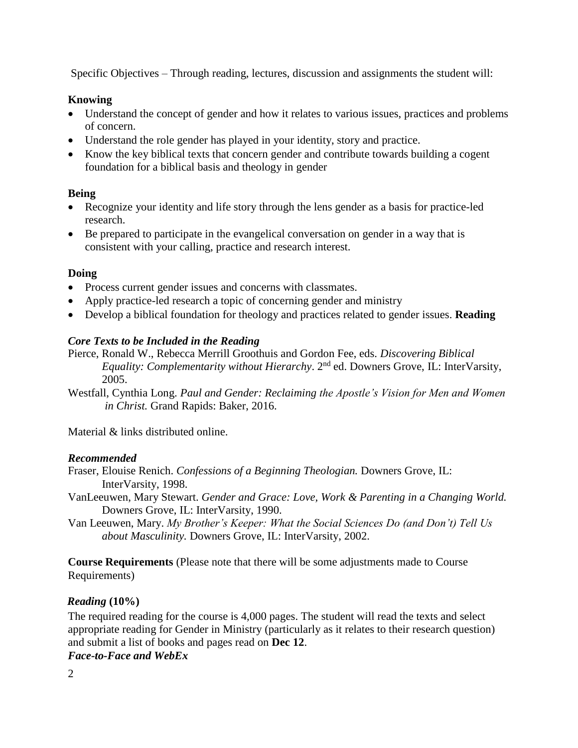Specific Objectives – Through reading, lectures, discussion and assignments the student will:

#### **Knowing**

- Understand the concept of gender and how it relates to various issues, practices and problems of concern.
- Understand the role gender has played in your identity, story and practice.
- Know the key biblical texts that concern gender and contribute towards building a cogent foundation for a biblical basis and theology in gender

### **Being**

- Recognize your identity and life story through the lens gender as a basis for practice-led research.
- Be prepared to participate in the evangelical conversation on gender in a way that is consistent with your calling, practice and research interest.

### **Doing**

- Process current gender issues and concerns with classmates.
- Apply practice-led research a topic of concerning gender and ministry
- Develop a biblical foundation for theology and practices related to gender issues. **Reading**

# *Core Texts to be Included in the Reading*

Pierce, Ronald W., Rebecca Merrill Groothuis and Gordon Fee, eds. *Discovering Biblical Equality: Complementarity without Hierarchy.* 2<sup>nd</sup> ed. Downers Grove, IL: InterVarsity, 2005.

Westfall, Cynthia Long. *Paul and Gender: Reclaiming the Apostle's Vision for Men and Women in Christ.* Grand Rapids: Baker, 2016.

Material & links distributed online.

#### *Recommended*

Fraser, Elouise Renich. *Confessions of a Beginning Theologian.* Downers Grove, IL: InterVarsity, 1998.

- VanLeeuwen, Mary Stewart. *Gender and Grace: Love, Work & Parenting in a Changing World.* Downers Grove, IL: InterVarsity, 1990.
- Van Leeuwen, Mary. *My Brother's Keeper: What the Social Sciences Do (and Don't) Tell Us about Masculinity.* Downers Grove, IL: InterVarsity, 2002.

**Course Requirements** (Please note that there will be some adjustments made to Course Requirements)

#### *Reading* **(10%)**

The required reading for the course is 4,000 pages. The student will read the texts and select appropriate reading for Gender in Ministry (particularly as it relates to their research question) and submit a list of books and pages read on **Dec 12**.

#### *Face-to-Face and WebEx*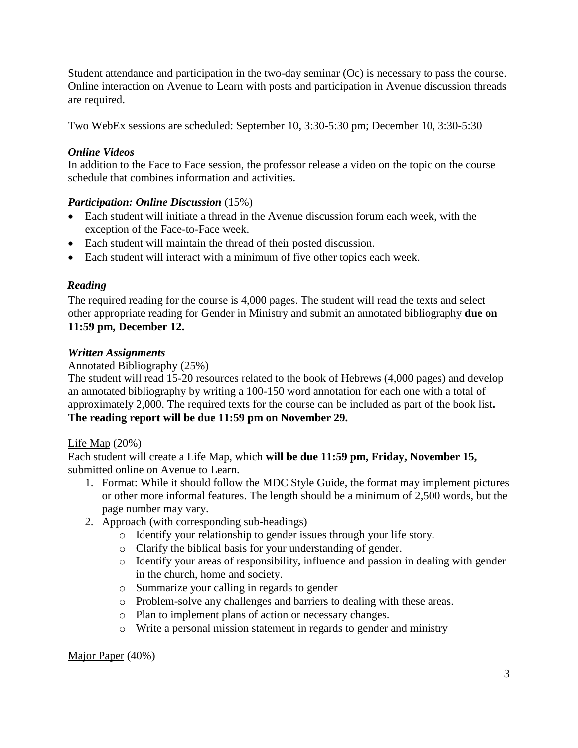Student attendance and participation in the two-day seminar (Oc) is necessary to pass the course. Online interaction on Avenue to Learn with posts and participation in Avenue discussion threads are required.

Two WebEx sessions are scheduled: September 10, 3:30-5:30 pm; December 10, 3:30-5:30

### *Online Videos*

In addition to the Face to Face session, the professor release a video on the topic on the course schedule that combines information and activities.

### *Participation: Online Discussion* (15%)

- Each student will initiate a thread in the Avenue discussion forum each week, with the exception of the Face-to-Face week.
- Each student will maintain the thread of their posted discussion.
- Each student will interact with a minimum of five other topics each week.

### *Reading*

The required reading for the course is 4,000 pages. The student will read the texts and select other appropriate reading for Gender in Ministry and submit an annotated bibliography **due on 11:59 pm, December 12.** 

#### *Written Assignments*

### Annotated Bibliography (25%)

The student will read 15-20 resources related to the book of Hebrews (4,000 pages) and develop an annotated bibliography by writing a 100-150 word annotation for each one with a total of approximately 2,000. The required texts for the course can be included as part of the book list**. The reading report will be due 11:59 pm on November 29.**

#### Life Map (20%)

Each student will create a Life Map, which **will be due 11:59 pm, Friday, November 15,**  submitted online on Avenue to Learn.

- 1. Format: While it should follow the MDC Style Guide, the format may implement pictures or other more informal features. The length should be a minimum of 2,500 words, but the page number may vary.
- 2. Approach (with corresponding sub-headings)
	- o Identify your relationship to gender issues through your life story.
	- o Clarify the biblical basis for your understanding of gender.
	- o Identify your areas of responsibility, influence and passion in dealing with gender in the church, home and society.
	- o Summarize your calling in regards to gender
	- o Problem-solve any challenges and barriers to dealing with these areas.
	- o Plan to implement plans of action or necessary changes.
	- o Write a personal mission statement in regards to gender and ministry

#### Major Paper (40%)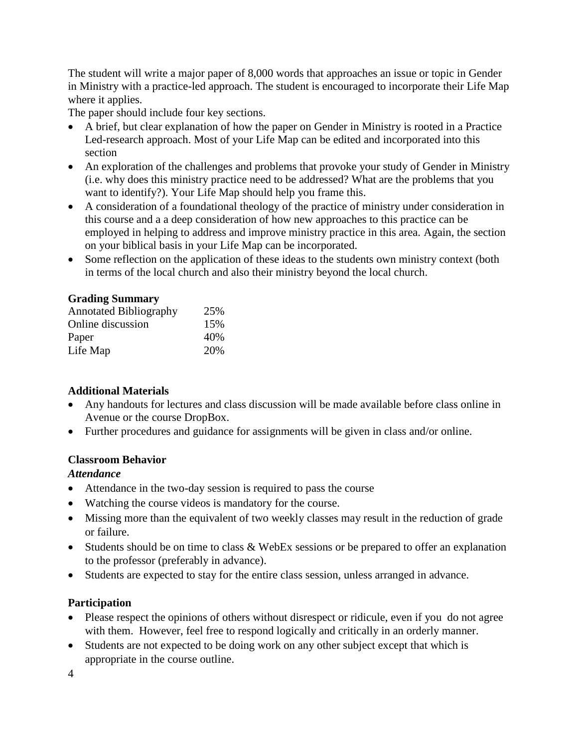The student will write a major paper of 8,000 words that approaches an issue or topic in Gender in Ministry with a practice-led approach. The student is encouraged to incorporate their Life Map where it applies.

The paper should include four key sections.

- A brief, but clear explanation of how the paper on Gender in Ministry is rooted in a Practice Led-research approach. Most of your Life Map can be edited and incorporated into this section
- An exploration of the challenges and problems that provoke your study of Gender in Ministry (i.e. why does this ministry practice need to be addressed? What are the problems that you want to identify?). Your Life Map should help you frame this.
- A consideration of a foundational theology of the practice of ministry under consideration in this course and a a deep consideration of how new approaches to this practice can be employed in helping to address and improve ministry practice in this area. Again, the section on your biblical basis in your Life Map can be incorporated.
- Some reflection on the application of these ideas to the students own ministry context (both in terms of the local church and also their ministry beyond the local church.

#### **Grading Summary**

| <b>Annotated Bibliography</b> | 25% |
|-------------------------------|-----|
| Online discussion             | 15% |
| Paper                         | 40% |
| Life Map                      | 20% |

#### **Additional Materials**

- Any handouts for lectures and class discussion will be made available before class online in Avenue or the course DropBox.
- Further procedures and guidance for assignments will be given in class and/or online.

#### **Classroom Behavior**

#### *Attendance*

- Attendance in the two-day session is required to pass the course
- Watching the course videos is mandatory for the course.
- Missing more than the equivalent of two weekly classes may result in the reduction of grade or failure.
- Students should be on time to class & WebEx sessions or be prepared to offer an explanation to the professor (preferably in advance).
- Students are expected to stay for the entire class session, unless arranged in advance.

# **Participation**

- Please respect the opinions of others without disrespect or ridicule, even if you do not agree with them. However, feel free to respond logically and critically in an orderly manner.
- Students are not expected to be doing work on any other subject except that which is appropriate in the course outline.

4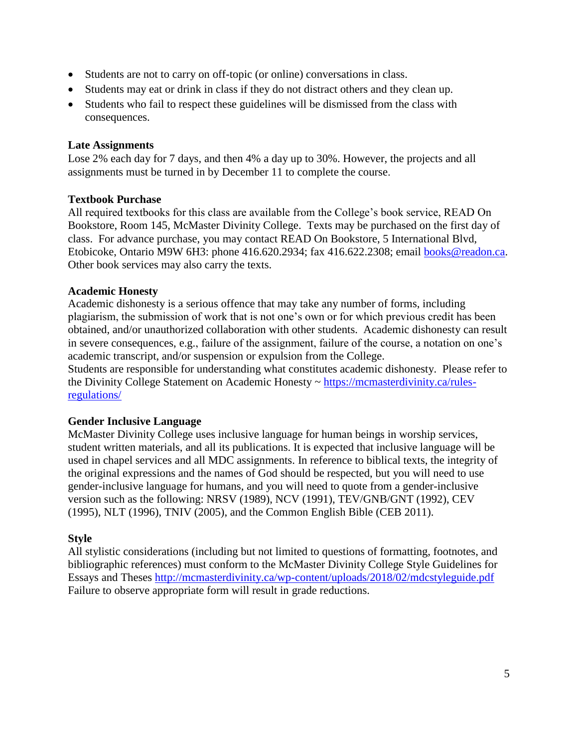- Students are not to carry on off-topic (or online) conversations in class.
- Students may eat or drink in class if they do not distract others and they clean up.
- Students who fail to respect these guidelines will be dismissed from the class with consequences.

#### **Late Assignments**

Lose 2% each day for 7 days, and then 4% a day up to 30%. However, the projects and all assignments must be turned in by December 11 to complete the course.

#### **Textbook Purchase**

All required textbooks for this class are available from the College's book service, READ On Bookstore, Room 145, McMaster Divinity College. Texts may be purchased on the first day of class. For advance purchase, you may contact READ On Bookstore, 5 International Blvd, Etobicoke, Ontario M9W 6H3: phone 416.620.2934; fax 416.622.2308; email [books@readon.ca.](mailto:books@readon.ca) Other book services may also carry the texts.

#### **Academic Honesty**

Academic dishonesty is a serious offence that may take any number of forms, including plagiarism, the submission of work that is not one's own or for which previous credit has been obtained, and/or unauthorized collaboration with other students. Academic dishonesty can result in severe consequences, e.g., failure of the assignment, failure of the course, a notation on one's academic transcript, and/or suspension or expulsion from the College.

Students are responsible for understanding what constitutes academic dishonesty. Please refer to the Divinity College Statement on Academic Honesty ~ [https://mcmasterdivinity.ca/rules](https://mcmasterdivinity.ca/rules-regulations/)[regulations/](https://mcmasterdivinity.ca/rules-regulations/)

#### **Gender Inclusive Language**

McMaster Divinity College uses inclusive language for human beings in worship services, student written materials, and all its publications. It is expected that inclusive language will be used in chapel services and all MDC assignments. In reference to biblical texts, the integrity of the original expressions and the names of God should be respected, but you will need to use gender-inclusive language for humans, and you will need to quote from a gender-inclusive version such as the following: NRSV (1989), NCV (1991), TEV/GNB/GNT (1992), CEV (1995), NLT (1996), TNIV (2005), and the Common English Bible (CEB 2011).

#### **Style**

All stylistic considerations (including but not limited to questions of formatting, footnotes, and bibliographic references) must conform to the McMaster Divinity College Style Guidelines for Essays and Theses http://mcmasterdivinity.ca/wp-content/uploads/2018/02/mdcstyleguide.pdf Failure to observe appropriate form will result in grade reductions.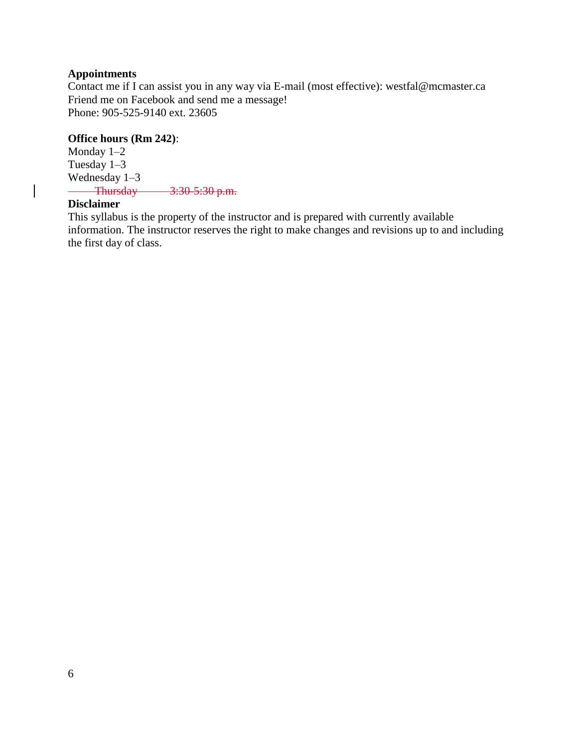#### **Appointments**

Contact me if I can assist you in any way via E-mail (most effective): westfal@mcmaster.ca Friend me on Facebook and send me a message! Phone: 905-525-9140 ext. 23605

#### **Office hours (Rm 242)**:

Monday 1–2 Tuesday 1–3 Wednesday 1–3 Thursday 3:30-5:30 p.m. 

#### **Disclaimer**

This syllabus is the property of the instructor and is prepared with currently available information. The instructor reserves the right to make changes and revisions up to and including the first day of class.